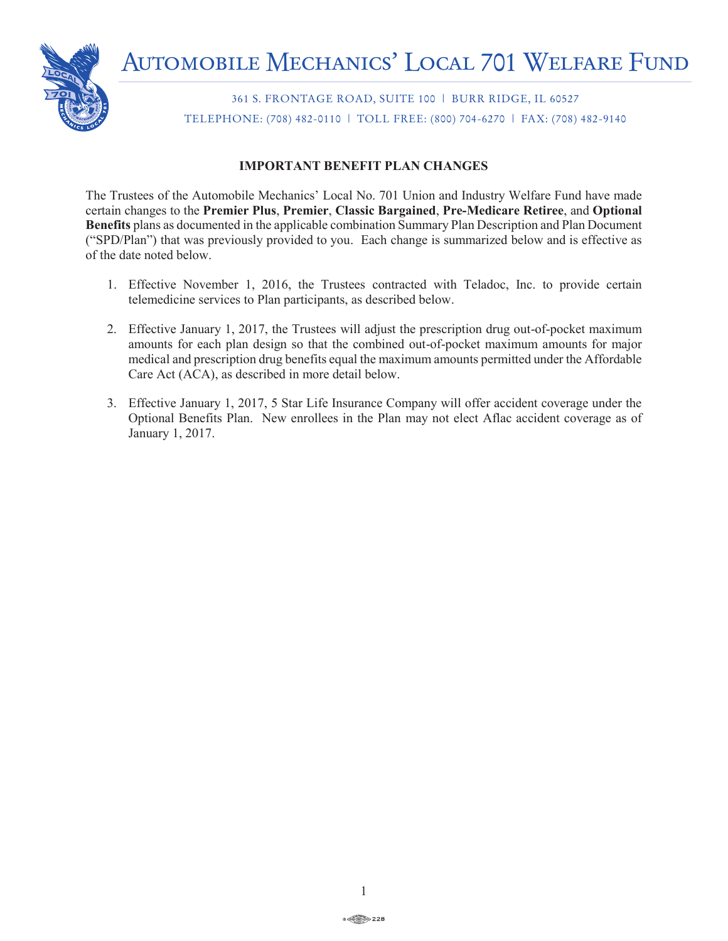

361 S. FRONTAGE ROAD, SUITE 100 | BURR RIDGE, IL 60527 TELEPHONE: (708) 482-0110 | TOLL FREE: (800) 704-6270 | FAX: (708) 482-9140

# **IMPORTANT BENEFIT PLAN CHANGES**

The Trustees of the Automobile Mechanics' Local No. 701 Union and Industry Welfare Fund have made certain changes to the **Premier Plus**, **Premier**, **Classic Bargained**, **Pre-Medicare Retiree**, and **Optional Benefits** plans as documented in the applicable combination Summary Plan Description and Plan Document ("SPD/Plan") that was previously provided to you. Each change is summarized below and is effective as of the date noted below.

- 1. Effective November 1, 2016, the Trustees contracted with Teladoc, Inc. to provide certain telemedicine services to Plan participants, as described below.
- 2. Effective January 1, 2017, the Trustees will adjust the prescription drug out-of-pocket maximum amounts for each plan design so that the combined out-of-pocket maximum amounts for major medical and prescription drug benefits equal the maximum amounts permitted under the Affordable Care Act (ACA), as described in more detail below.
- 3. Effective January 1, 2017, 5 Star Life Insurance Company will offer accident coverage under the Optional Benefits Plan. New enrollees in the Plan may not elect Aflac accident coverage as of January 1, 2017.

← 228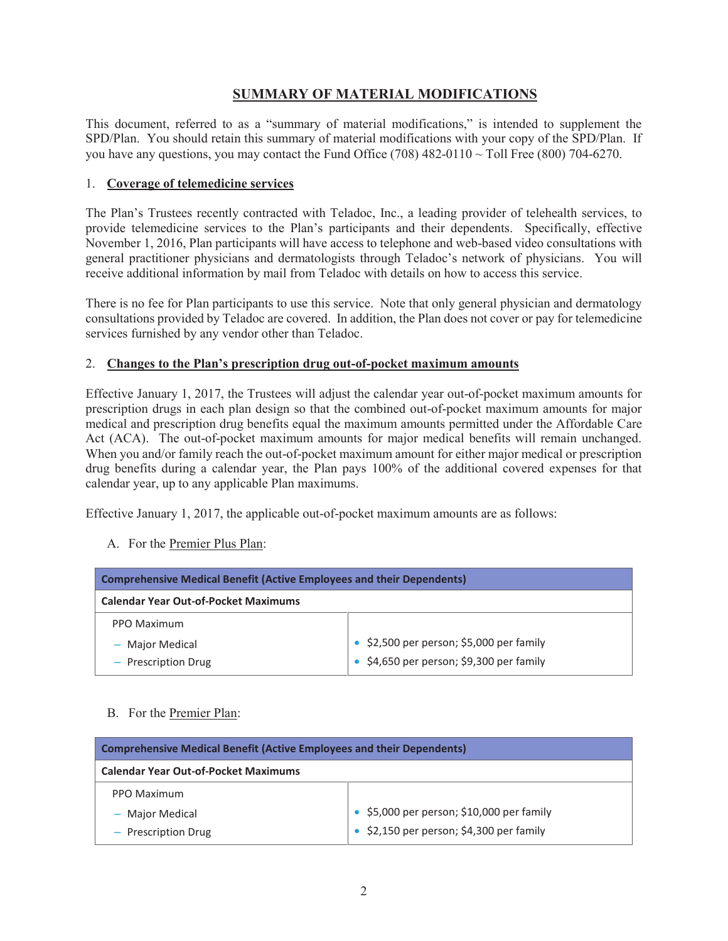# **SUMMARY OF MATERIAL MODIFICATIONS**

This document, referred to as a "summary of material modifications," is intended to supplement the SPD/Plan. You should retain this summary of material modifications with your copy of the SPD/Plan. If you have any questions, you may contact the Fund Office (708)  $482-0110 \sim$  Toll Free (800) 704-6270.

### 1. **Coverage of telemedicine services**

The Plan's Trustees recently contracted with Teladoc, Inc., a leading provider of telehealth services, to provide telemedicine services to the Plan's participants and their dependents. Specifically, effective November 1, 2016, Plan participants will have access to telephone and web-based video consultations with general practitioner physicians and dermatologists through Teladoc's network of physicians. You will receive additional information by mail from Teladoc with details on how to access this service.

There is no fee for Plan participants to use this service. Note that only general physician and dermatology consultations provided by Teladoc are covered. In addition, the Plan does not cover or pay for telemedicine services furnished by any vendor other than Teladoc.

#### 2. **Changes to the Plan's prescription drug out-of-pocket maximum amounts**

Effective January 1, 2017, the Trustees will adjust the calendar year out-of-pocket maximum amounts for prescription drugs in each plan design so that the combined out-of-pocket maximum amounts for major medical and prescription drug benefits equal the maximum amounts permitted under the Affordable Care Act (ACA). The out-of-pocket maximum amounts for major medical benefits will remain unchanged. When you and/or family reach the out-of-pocket maximum amount for either major medical or prescription drug benefits during a calendar year, the Plan pays 100% of the additional covered expenses for that calendar year, up to any applicable Plan maximums.

Effective January 1, 2017, the applicable out-of-pocket maximum amounts are as follows:

A. For the Premier Plus Plan:

| <b>Comprehensive Medical Benefit (Active Employees and their Dependents)</b> |                                                  |  |
|------------------------------------------------------------------------------|--------------------------------------------------|--|
| <b>Calendar Year Out-of-Pocket Maximums</b>                                  |                                                  |  |
| PPO Maximum                                                                  |                                                  |  |
| - Major Medical                                                              | $\bullet$ \$2,500 per person; \$5,000 per family |  |
| - Prescription Drug                                                          | $\bullet$ \$4,650 per person; \$9,300 per family |  |

## B. For the Premier Plan:

| <b>Comprehensive Medical Benefit (Active Employees and their Dependents)</b> |                                                  |  |
|------------------------------------------------------------------------------|--------------------------------------------------|--|
| <b>Calendar Year Out-of-Pocket Maximums</b>                                  |                                                  |  |
| PPO Maximum                                                                  |                                                  |  |
| - Major Medical                                                              | • \$5,000 per person; \$10,000 per family        |  |
| - Prescription Drug                                                          | $\bullet$ \$2,150 per person; \$4,300 per family |  |